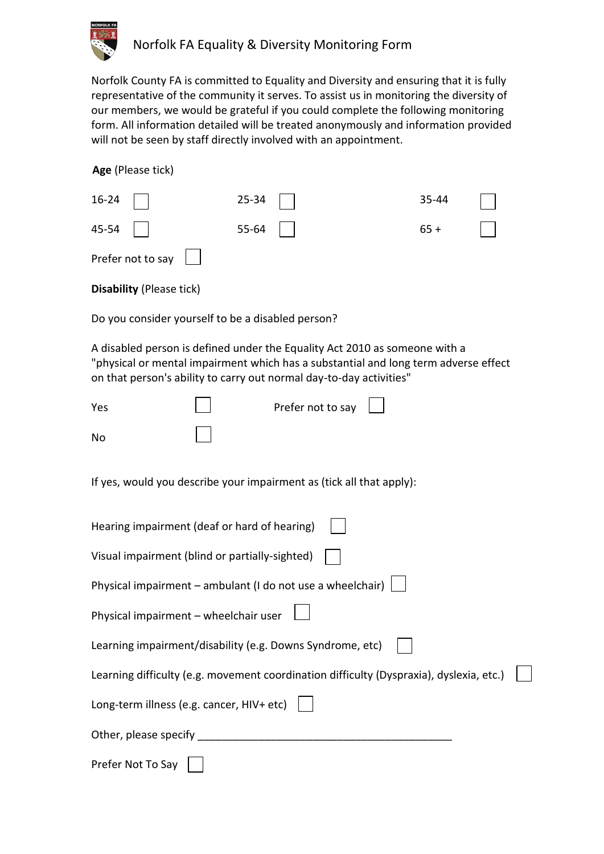

Norfolk County FA is committed to Equality and Diversity and ensuring that it is fully representative of the community it serves. To assist us in monitoring the diversity of our members, we would be grateful if you could complete the following monitoring form. All information detailed will be treated anonymously and information provided will not be seen by staff directly involved with an appointment.

| Age (Please tick) |  |  |  |
|-------------------|--|--|--|
|-------------------|--|--|--|

| $16-24$                                 | $25-34$ | 35-44 |  |
|-----------------------------------------|---------|-------|--|
| $45-54$                                 | 55-64   | $65+$ |  |
| Prefer not to say $\boxed{\phantom{a}}$ |         |       |  |
| <b>Disability (Please tick)</b>         |         |       |  |

Do you consider yourself to be a disabled person?

A disabled person is defined under the Equality Act 2010 as someone with a "physical or mental impairment which has a substantial and long term adverse effect on that person's ability to carry out normal day-to-day activities"

| Yes                                                                  |  | Prefer not to say $\Box$ |  |  |
|----------------------------------------------------------------------|--|--------------------------|--|--|
| No                                                                   |  |                          |  |  |
| If yes, would you describe your impairment as (tick all that apply): |  |                          |  |  |

| Hearing impairment (deaf or hard of hearing)                                            |  |
|-----------------------------------------------------------------------------------------|--|
| Visual impairment (blind or partially-sighted)                                          |  |
| Physical impairment - ambulant (I do not use a wheelchair)                              |  |
| Physical impairment - wheelchair user                                                   |  |
| Learning impairment/disability (e.g. Downs Syndrome, etc)                               |  |
| Learning difficulty (e.g. movement coordination difficulty (Dyspraxia), dyslexia, etc.) |  |
| Long-term illness (e.g. cancer, HIV+ etc)                                               |  |
| Other, please specify                                                                   |  |
| Prefer Not To Say                                                                       |  |